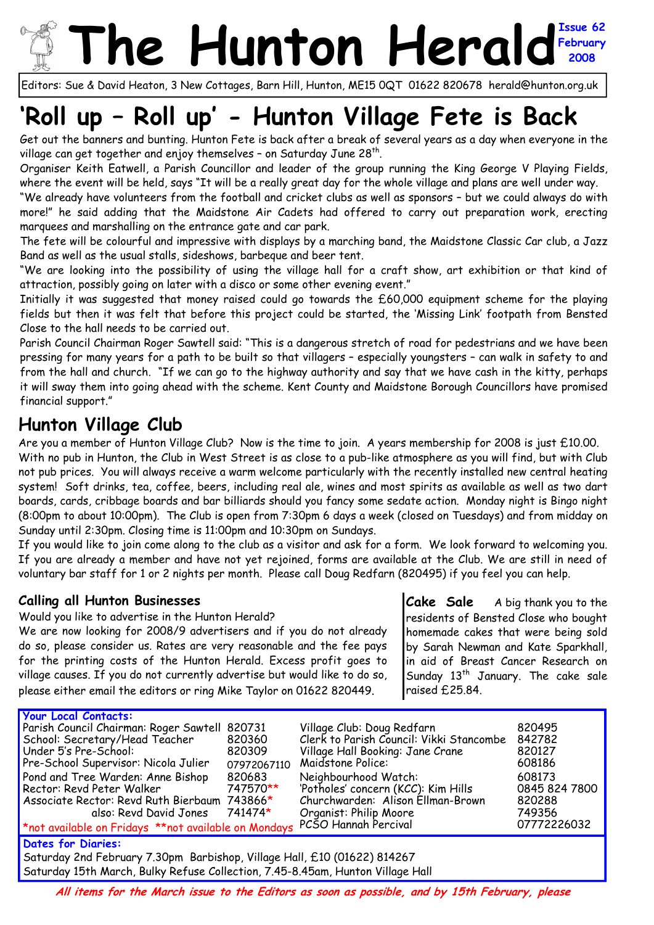## **The Hunton Herald February 2008**

Editors: Sue & David Heaton, 3 New Cottages, Barn Hill, Hunton, ME15 0QT 01622 820678 herald@hunton.org.uk

# **'Roll up – Roll up' - Hunton Village Fete is Back**

Get out the banners and bunting. Hunton Fete is back after a break of several years as a day when everyone in the village can get together and enjoy themselves - on Saturday June 28<sup>th</sup>.

Organiser Keith Eatwell, a Parish Councillor and leader of the group running the King George V Playing Fields, where the event will be held, says "It will be a really great day for the whole village and plans are well under way.

"We already have volunteers from the football and cricket clubs as well as sponsors – but we could always do with more!" he said adding that the Maidstone Air Cadets had offered to carry out preparation work, erecting marquees and marshalling on the entrance gate and car park.

The fete will be colourful and impressive with displays by a marching band, the Maidstone Classic Car club, a Jazz Band as well as the usual stalls, sideshows, barbeque and beer tent.

"We are looking into the possibility of using the village hall for a craft show, art exhibition or that kind of attraction, possibly going on later with a disco or some other evening event."

Initially it was suggested that money raised could go towards the £60,000 equipment scheme for the playing fields but then it was felt that before this project could be started, the 'Missing Link' footpath from Bensted Close to the hall needs to be carried out.

Parish Council Chairman Roger Sawtell said: "This is a dangerous stretch of road for pedestrians and we have been pressing for many years for a path to be built so that villagers – especially youngsters – can walk in safety to and from the hall and church. "If we can go to the highway authority and say that we have cash in the kitty, perhaps it will sway them into going ahead with the scheme. Kent County and Maidstone Borough Councillors have promised financial support."

### **Hunton Village Club**

Are you a member of Hunton Village Club? Now is the time to join. A years membership for 2008 is just £10.00.

With no pub in Hunton, the Club in West Street is as close to a pub-like atmosphere as you will find, but with Club not pub prices. You will always receive a warm welcome particularly with the recently installed new central heating system! Soft drinks, tea, coffee, beers, including real ale, wines and most spirits as available as well as two dart boards, cards, cribbage boards and bar billiards should you fancy some sedate action. Monday night is Bingo night (8:00pm to about 10:00pm). The Club is open from 7:30pm 6 days a week (closed on Tuesdays) and from midday on Sunday until 2:30pm. Closing time is 11:00pm and 10:30pm on Sundays.

If you would like to join come along to the club as a visitor and ask for a form. We look forward to welcoming you. If you are already a member and have not yet rejoined, forms are available at the Club. We are still in need of voluntary bar staff for 1 or 2 nights per month. Please call Doug Redfarn (820495) if you feel you can help.

#### **Calling all Hunton Businesses**

Would you like to advertise in the Hunton Herald? We are now looking for 2008/9 advertisers and if you do not already do so, please consider us. Rates are very reasonable and the fee pays for the printing costs of the Hunton Herald. Excess profit goes to village causes. If you do not currently advertise but would like to do so, please either email the editors or ring Mike Taylor on 01622 820449.

**Cake Sale** A big thank you to the residents of Bensted Close who bought homemade cakes that were being sold by Sarah Newman and Kate Sparkhall, in aid of Breast Cancer Research on Sunday  $13^{th}$  January. The cake sale raised £25.84.

| <b>Your Local Contacts:</b>                                                                     |                  |                                          |               |  |  |  |  |
|-------------------------------------------------------------------------------------------------|------------------|------------------------------------------|---------------|--|--|--|--|
| Parish Council Chairman: Roger Sawtell                                                          | 820731           | Village Club: Doug Redfarn               | 820495        |  |  |  |  |
| School: Secretary/Head Teacher                                                                  | 820360           | Clerk to Parish Council: Vikki Stancombe | 842782        |  |  |  |  |
| Under 5's Pre-School:                                                                           | 820309           | Village Hall Booking: Jane Crane         | 820127        |  |  |  |  |
| Pre-School Supervisor: Nicola Julier                                                            | 07972067110      | Maidstone Police:                        | 608186        |  |  |  |  |
| Pond and Tree Warden: Anne Bishop                                                               | 820683           | Neighbourhood Watch:                     | 608173        |  |  |  |  |
| Rector: Revd Peter Walker                                                                       | 747570 <b>**</b> | 'Potholes' concern (KCC): Kim Hills      | 0845 824 7800 |  |  |  |  |
| Associate Rector: Revd Ruth Bierbaum 743866*                                                    |                  | Churchwarden: Alison Ellman-Brown        | 820288        |  |  |  |  |
| also: Revd David Jones                                                                          | 741474*          | Organist: Philip Moore                   | 749356        |  |  |  |  |
| <u>*not available on Fridays **not available on Mondays PCSO Hannah Percival</u><br>07772226032 |                  |                                          |               |  |  |  |  |
| <b>Dates for Diaries:</b>                                                                       |                  |                                          |               |  |  |  |  |
| Saturday 2nd February 7.30pm Barbishop, Village Hall, £10 (01622) 814267                        |                  |                                          |               |  |  |  |  |
| Saturday 15th March, Bulky Refuse Collection, 7.45-8.45am, Hunton Village Hall                  |                  |                                          |               |  |  |  |  |

**All items for the March issue to the Editors as soon as possible, and by 15th February, please**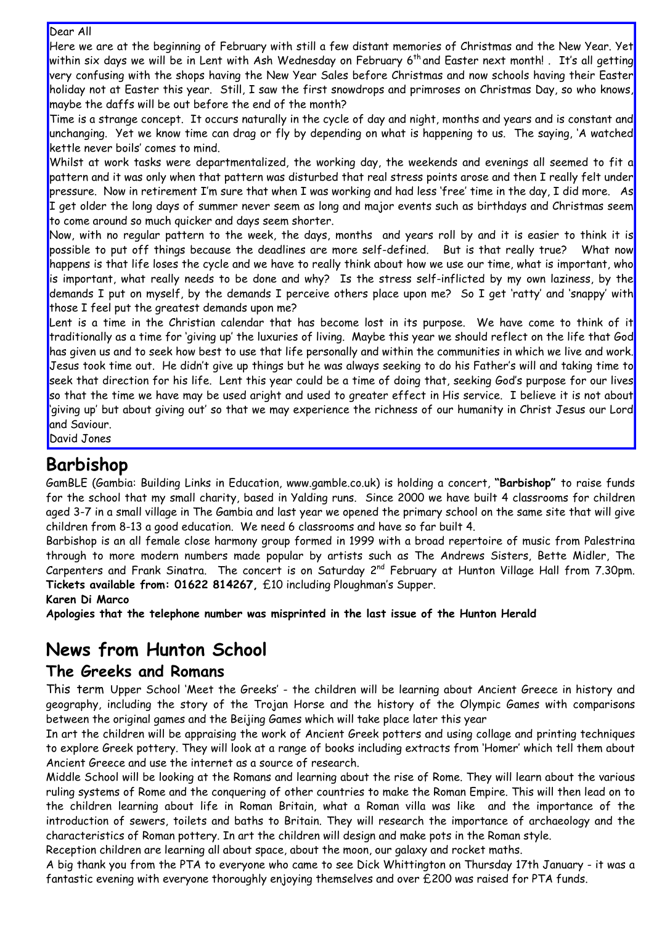#### Dear All

Here we are at the beginning of February with still a few distant memories of Christmas and the New Year. Yet within six days we will be in Lent with Ash Wednesday on February 6<sup>th</sup> and Easter next month! . It's all getting very confusing with the shops having the New Year Sales before Christmas and now schools having their Easter holiday not at Easter this year. Still, I saw the first snowdrops and primroses on Christmas Day, so who knows, maybe the daffs will be out before the end of the month?

Time is a strange concept. It occurs naturally in the cycle of day and night, months and years and is constant and unchanging. Yet we know time can drag or fly by depending on what is happening to us. The saying, 'A watched kettle never boils' comes to mind.

Whilst at work tasks were departmentalized, the working day, the weekends and evenings all seemed to fit a pattern and it was only when that pattern was disturbed that real stress points arose and then I really felt under pressure. Now in retirement I'm sure that when I was working and had less 'free' time in the day, I did more. As I get older the long days of summer never seem as long and major events such as birthdays and Christmas seem to come around so much quicker and days seem shorter.

Now, with no regular pattern to the week, the days, months and years roll by and it is easier to think it is possible to put off things because the deadlines are more self-defined. But is that really true? What now happens is that life loses the cycle and we have to really think about how we use our time, what is important, who is important, what really needs to be done and why? Is the stress self-inflicted by my own laziness, by the demands I put on myself, by the demands I perceive others place upon me? So I get 'ratty' and 'snappy' with those I feel put the greatest demands upon me?

Lent is a time in the Christian calendar that has become lost in its purpose. We have come to think of it traditionally as a time for 'giving up' the luxuries of living. Maybe this year we should reflect on the life that God has given us and to seek how best to use that life personally and within the communities in which we live and work. Jesus took time out. He didn't give up things but he was always seeking to do his Father's will and taking time to seek that direction for his life. Lent this year could be a time of doing that, seeking God's purpose for our lives so that the time we have may be used aright and used to greater effect in His service. I believe it is not about 'giving up' but about giving out' so that we may experience the richness of our humanity in Christ Jesus our Lord and Saviour.

David Jones

#### **Barbishop**

GamBLE (Gambia: Building Links in Education, www.gamble.co.uk) is holding a concert, **"Barbishop"** to raise funds for the school that my small charity, based in Yalding runs. Since 2000 we have built 4 classrooms for children aged 3-7 in a small village in The Gambia and last year we opened the primary school on the same site that will give children from 8-13 a good education. We need 6 classrooms and have so far built 4.

Barbishop is an all female close harmony group formed in 1999 with a broad repertoire of music from Palestrina through to more modern numbers made popular by artists such as The Andrews Sisters, Bette Midler, The Carpenters and Frank Sinatra. The concert is on Saturday 2<sup>nd</sup> February at Hunton Village Hall from 7.30pm. **Tickets available from: 01622 814267,** £10 including Ploughman's Supper.

**Karen Di Marco** 

**Apologies that the telephone number was misprinted in the last issue of the Hunton Herald**

### **News from Hunton School**

#### **The Greeks and Romans**

This term Upper School 'Meet the Greeks' - the children will be learning about Ancient Greece in history and geography, including the story of the Trojan Horse and the history of the Olympic Games with comparisons between the original games and the Beijing Games which will take place later this year

In art the children will be appraising the work of Ancient Greek potters and using collage and printing techniques to explore Greek pottery. They will look at a range of books including extracts from 'Homer' which tell them about Ancient Greece and use the internet as a source of research.

Middle School will be looking at the Romans and learning about the rise of Rome. They will learn about the various ruling systems of Rome and the conquering of other countries to make the Roman Empire. This will then lead on to the children learning about life in Roman Britain, what a Roman villa was like and the importance of the introduction of sewers, toilets and baths to Britain. They will research the importance of archaeology and the characteristics of Roman pottery. In art the children will design and make pots in the Roman style.

Reception children are learning all about space, about the moon, our galaxy and rocket maths.

A big thank you from the PTA to everyone who came to see Dick Whittington on Thursday 17th January - it was a fantastic evening with everyone thoroughly enjoying themselves and over £200 was raised for PTA funds.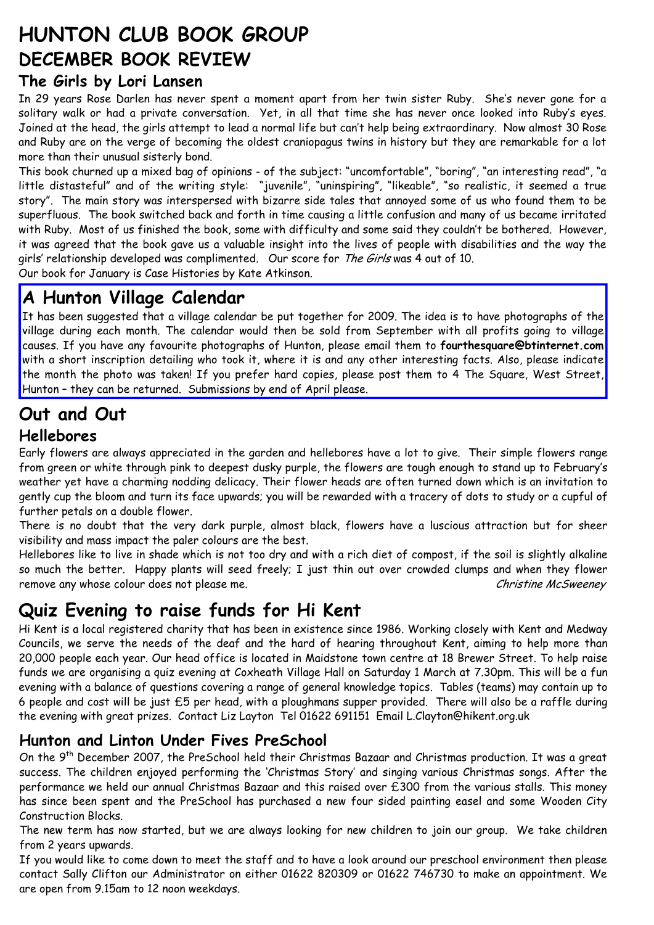## **HUNTON CLUB BOOK GROUP DECEMBER BOOK REVIEW**

#### **The Girls by Lori Lansen**

In 29 years Rose Darlen has never spent a moment apart from her twin sister Ruby. She's never gone for a solitary walk or had a private conversation. Yet, in all that time she has never once looked into Ruby's eyes. Joined at the head, the girls attempt to lead a normal life but can't help being extraordinary. Now almost 30 Rose and Ruby are on the verge of becoming the oldest craniopagus twins in history but they are remarkable for a lot more than their unusual sisterly bond.

This book churned up a mixed bag of opinions - of the subject: "uncomfortable", "boring", "an interesting read", "a little distasteful" and of the writing style: "juvenile", "uninspiring", "likeable", "so realistic, it seemed a true story". The main story was interspersed with bizarre side tales that annoyed some of us who found them to be superfluous. The book switched back and forth in time causing a little confusion and many of us became irritated with Ruby. Most of us finished the book, some with difficulty and some said they couldn't be bothered. However, it was agreed that the book gave us a valuable insight into the lives of people with disabilities and the way the girls' relationship developed was complimented. Our score for The Girls was 4 out of 10.

Our book for January is Case Histories by Kate Atkinson.

### **A Hunton Village Calendar**

It has been suggested that a village calendar be put together for 2009. The idea is to have photographs of the village during each month. The calendar would then be sold from September with all profits going to village causes. If you have any favourite photographs of Hunton, please email them to **fourthesquare@btinternet.com** with a short inscription detailing who took it, where it is and any other interesting facts. Also, please indicate the month the photo was taken! If you prefer hard copies, please post them to 4 The Square, West Street, Hunton – they can be returned. Submissions by end of April please.

## **Out and Out**

#### **Hellebores**

Early flowers are always appreciated in the garden and hellebores have a lot to give. Their simple flowers range from green or white through pink to deepest dusky purple, the flowers are tough enough to stand up to February's weather yet have a charming nodding delicacy. Their flower heads are often turned down which is an invitation to gently cup the bloom and turn its face upwards; you will be rewarded with a tracery of dots to study or a cupful of further petals on a double flower.

There is no doubt that the very dark purple, almost black, flowers have a luscious attraction but for sheer visibility and mass impact the paler colours are the best.

Hellebores like to live in shade which is not too dry and with a rich diet of compost, if the soil is slightly alkaline so much the better. Happy plants will seed freely; I just thin out over crowded clumps and when they flower remove any whose colour does not please me. Christine McSweeney and Christine McSweeney

## **Quiz Evening to raise funds for Hi Kent**

Hi Kent is a local registered charity that has been in existence since 1986. Working closely with Kent and Medway Councils, we serve the needs of the deaf and the hard of hearing throughout Kent, aiming to help more than 20,000 people each year. Our head office is located in Maidstone town centre at 18 Brewer Street. To help raise funds we are organising a quiz evening at Coxheath Village Hall on Saturday 1 March at 7.30pm. This will be a fun evening with a balance of questions covering a range of general knowledge topics. Tables (teams) may contain up to 6 people and cost will be just £5 per head, with a ploughmans supper provided. There will also be a raffle during the evening with great prizes. Contact Liz Layton Tel 01622 691151 Email L.Clayton@hikent.org.uk

#### **Hunton and Linton Under Fives PreSchool**

On the 9<sup>th</sup> December 2007, the PreSchool held their Christmas Bazaar and Christmas production. It was a great success. The children enjoyed performing the 'Christmas Story' and singing various Christmas songs. After the performance we held our annual Christmas Bazaar and this raised over £300 from the various stalls. This money has since been spent and the PreSchool has purchased a new four sided painting easel and some Wooden City Construction Blocks.

The new term has now started, but we are always looking for new children to join our group. We take children from 2 years upwards.

If you would like to come down to meet the staff and to have a look around our preschool environment then please contact Sally Clifton our Administrator on either 01622 820309 or 01622 746730 to make an appointment. We are open from 9.15am to 12 noon weekdays.